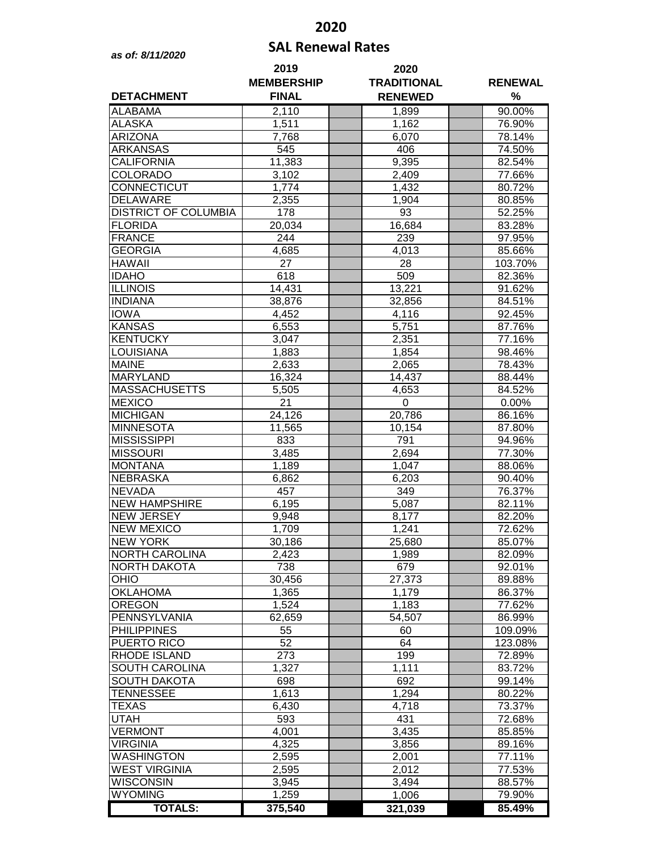## **2020**

## **SAL Renewal Rates** *as of: 8/11/2020*

| <b>DETACHMENT</b>           | 2019<br><b>MEMBERSHIP</b><br><b>FINAL</b> | 2020<br><b>TRADITIONAL</b> | <b>RENEWAL</b><br>% |         |
|-----------------------------|-------------------------------------------|----------------------------|---------------------|---------|
|                             |                                           | <b>RENEWED</b>             |                     |         |
| <b>ALABAMA</b>              | 2,110                                     | 1,899                      |                     | 90.00%  |
| <b>ALASKA</b>               | 1,511                                     | $\overline{1,162}$         |                     | 76.90%  |
| <b>ARIZONA</b>              | 7,768                                     | 6,070                      |                     | 78.14%  |
| <b>ARKANSAS</b>             | 545                                       | 406                        |                     | 74.50%  |
| <b>CALIFORNIA</b>           | 11,383                                    | 9,395                      |                     | 82.54%  |
| COLORADO                    | 3,102                                     | 2,409                      |                     | 77.66%  |
| CONNECTICUT                 | 1,774                                     | 1,432                      |                     | 80.72%  |
| <b>DELAWARE</b>             | 2,355                                     | 1,904                      |                     | 80.85%  |
| <b>DISTRICT OF COLUMBIA</b> | 178                                       | 93                         |                     | 52.25%  |
| <b>FLORIDA</b>              | 20,034                                    | 16,684                     |                     | 83.28%  |
| <b>FRANCE</b>               | 244                                       | 239                        |                     | 97.95%  |
| <b>GEORGIA</b>              | 4,685                                     | 4,013                      |                     | 85.66%  |
| <b>HAWAII</b>               | 27                                        | 28                         |                     | 103.70% |
| <b>IDAHO</b>                | 618                                       | 509                        |                     | 82.36%  |
| <b>ILLINOIS</b>             | 14,431                                    | 13,221                     |                     | 91.62%  |
| <b>INDIANA</b>              | 38,876                                    | 32,856                     |                     | 84.51%  |
| <b>IOWA</b>                 | 4,452                                     | 4,116                      |                     | 92.45%  |
| <b>KANSAS</b>               | 6,553                                     | 5,751                      |                     | 87.76%  |
| <b>KENTUCKY</b>             | 3,047                                     | 2,351                      |                     | 77.16%  |
| LOUISIANA                   | 1,883                                     | 1,854                      |                     | 98.46%  |
| <b>MAINE</b>                | 2,633                                     | 2,065                      |                     | 78.43%  |
| MARYLAND                    | 16,324                                    | 14,437                     |                     | 88.44%  |
| <b>MASSACHUSETTS</b>        | 5,505                                     | 4,653                      |                     | 84.52%  |
| <b>MEXICO</b>               | $\overline{21}$                           | 0                          |                     | 0.00%   |
| <b>MICHIGAN</b>             | 24,126                                    | 20,786                     |                     | 86.16%  |
| <b>MINNESOTA</b>            | 11,565                                    | 10,154                     |                     | 87.80%  |
| <b>MISSISSIPPI</b>          | 833                                       | 791                        |                     | 94.96%  |
| <b>MISSOURI</b>             | 3,485                                     | 2,694                      |                     | 77.30%  |
| <b>MONTANA</b>              | 1,189                                     | 1,047                      |                     | 88.06%  |
| <b>NEBRASKA</b>             | 6,862                                     | 6,203                      |                     | 90.40%  |
| <b>NEVADA</b>               | 457                                       | 349                        |                     | 76.37%  |
| <b>NEW HAMPSHIRE</b>        | 6,195                                     | 5,087                      |                     | 82.11%  |
| <b>NEW JERSEY</b>           | 9,948                                     | 8,177                      |                     | 82.20%  |
| <b>NEW MEXICO</b>           | 1,709                                     | 1,241                      |                     | 72.62%  |
| <b>NEW YORK</b>             | 30,186                                    | 25,680                     |                     | 85.07%  |
| <b>NORTH CAROLINA</b>       | 2,423                                     | 1,989                      |                     | 82.09%  |
| <b>NORTH DAKOTA</b>         | 738                                       | 679                        |                     | 92.01%  |
| OHIO                        | 30,456                                    | 27,373                     |                     | 89.88%  |
| <b>OKLAHOMA</b>             | 1,365                                     | 1,179                      |                     | 86.37%  |
| <b>OREGON</b>               | 1,524                                     | 1,183                      |                     | 77.62%  |
| PENNSYLVANIA                | 62,659                                    | 54,507                     |                     | 86.99%  |
| <b>PHILIPPINES</b>          | 55                                        | 60                         |                     | 109.09% |
| PUERTO RICO                 | 52                                        | 64                         |                     | 123.08% |
| RHODE ISLAND                | 273                                       | 199                        |                     | 72.89%  |
| SOUTH CAROLINA              | 1,327                                     | 1,111                      |                     | 83.72%  |
| SOUTH DAKOTA                | 698                                       | 692                        |                     | 99.14%  |
| <b>TENNESSEE</b>            | 1,613                                     | 1,294                      |                     | 80.22%  |
| <b>TEXAS</b>                | 6,430                                     | 4,718                      |                     | 73.37%  |
| <b>UTAH</b>                 | 593                                       | 431                        |                     | 72.68%  |
| <b>VERMONT</b>              | 4,001                                     | 3,435                      |                     | 85.85%  |
| <b>VIRGINIA</b>             | 4,325                                     | 3,856                      |                     | 89.16%  |
| WASHINGTON                  | 2,595                                     | 2,001                      |                     | 77.11%  |
| <b>WEST VIRGINIA</b>        | 2,595                                     | 2,012                      |                     | 77.53%  |
| <b>WISCONSIN</b>            | 3,945                                     | 3,494                      |                     | 88.57%  |
| <b>WYOMING</b>              | 1,259                                     | 1,006                      |                     | 79.90%  |
| <b>TOTALS:</b>              | 375,540                                   | 321,039                    |                     | 85.49%  |